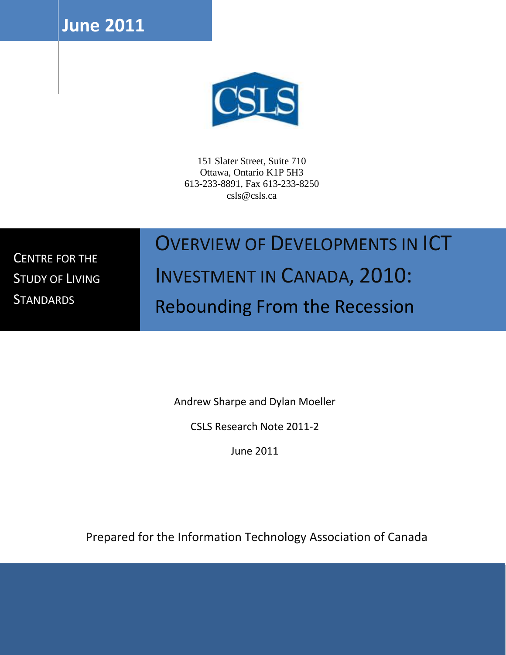**June 2011**



151 Slater Street, Suite 710 Ottawa, Ontario K1P 5H3 613-233-8891, Fax 613-233-8250 csls@csls.ca

CENTRE FOR THE STUDY OF LIVING **STANDARDS** 

## OVERVIEW OF DEVELOPMENTS IN ICT

# INVESTMENT IN CANADA, 2010: Rebounding From the Recession

Andrew Sharpe and Dylan Moeller

CSLS Research Note 2011-2

June 2011

Prepared for the Information Technology Association of Canada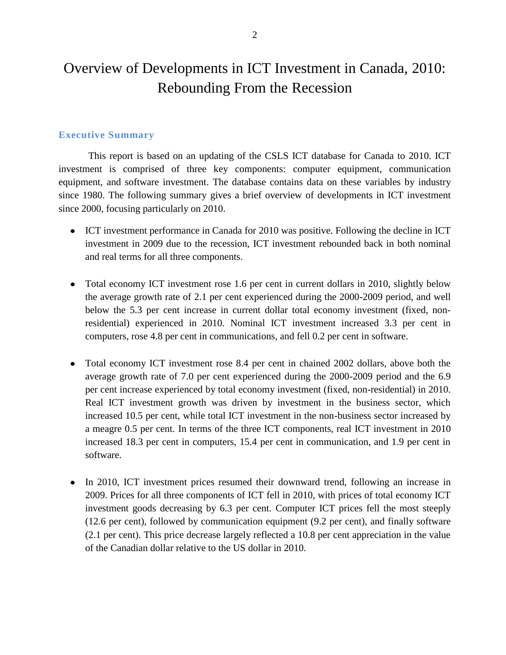## Overview of Developments in ICT Investment in Canada, 2010: Rebounding From the Recession

#### **Executive Summary**

This report is based on an updating of the CSLS ICT database for Canada to 2010. ICT investment is comprised of three key components: computer equipment, communication equipment, and software investment. The database contains data on these variables by industry since 1980. The following summary gives a brief overview of developments in ICT investment since 2000, focusing particularly on 2010.

- ICT investment performance in Canada for 2010 was positive. Following the decline in ICT investment in 2009 due to the recession, ICT investment rebounded back in both nominal and real terms for all three components.
- Total economy ICT investment rose 1.6 per cent in current dollars in 2010, slightly below the average growth rate of 2.1 per cent experienced during the 2000-2009 period, and well below the 5.3 per cent increase in current dollar total economy investment (fixed, nonresidential) experienced in 2010. Nominal ICT investment increased 3.3 per cent in computers, rose 4.8 per cent in communications, and fell 0.2 per cent in software.
- $\bullet$ Total economy ICT investment rose 8.4 per cent in chained 2002 dollars, above both the average growth rate of 7.0 per cent experienced during the 2000-2009 period and the 6.9 per cent increase experienced by total economy investment (fixed, non-residential) in 2010. Real ICT investment growth was driven by investment in the business sector, which increased 10.5 per cent, while total ICT investment in the non-business sector increased by a meagre 0.5 per cent. In terms of the three ICT components, real ICT investment in 2010 increased 18.3 per cent in computers, 15.4 per cent in communication, and 1.9 per cent in software.
- In 2010, ICT investment prices resumed their downward trend, following an increase in  $\bullet$ 2009. Prices for all three components of ICT fell in 2010, with prices of total economy ICT investment goods decreasing by 6.3 per cent. Computer ICT prices fell the most steeply (12.6 per cent), followed by communication equipment (9.2 per cent), and finally software (2.1 per cent). This price decrease largely reflected a 10.8 per cent appreciation in the value of the Canadian dollar relative to the US dollar in 2010.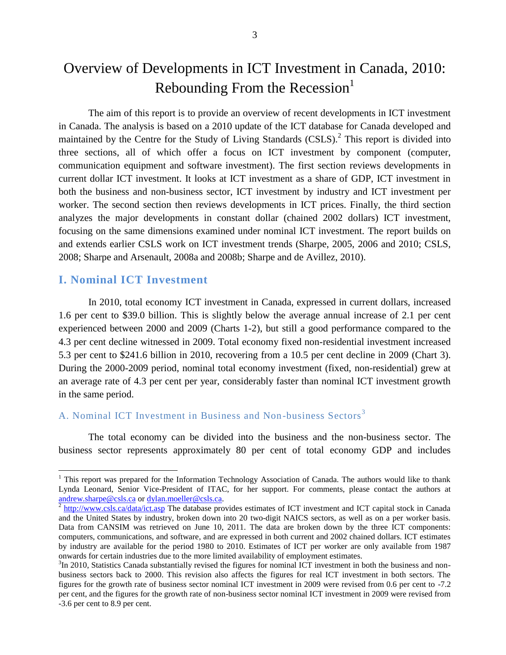## Overview of Developments in ICT Investment in Canada, 2010: Rebounding From the Recession $<sup>1</sup>$ </sup>

The aim of this report is to provide an overview of recent developments in ICT investment in Canada. The analysis is based on a 2010 update of the ICT database for Canada developed and maintained by the Centre for the Study of Living Standards  $(CSLS)$ .<sup>2</sup> This report is divided into three sections, all of which offer a focus on ICT investment by component (computer, communication equipment and software investment). The first section reviews developments in current dollar ICT investment. It looks at ICT investment as a share of GDP, ICT investment in both the business and non-business sector, ICT investment by industry and ICT investment per worker. The second section then reviews developments in ICT prices. Finally, the third section analyzes the major developments in constant dollar (chained 2002 dollars) ICT investment, focusing on the same dimensions examined under nominal ICT investment. The report builds on and extends earlier CSLS work on ICT investment trends (Sharpe, 2005, 2006 and 2010; CSLS, 2008; Sharpe and Arsenault, 2008a and 2008b; Sharpe and de Avillez, 2010).

#### **I. Nominal ICT Investment**

 $\overline{\phantom{a}}$ 

In 2010, total economy ICT investment in Canada, expressed in current dollars, increased 1.6 per cent to \$39.0 billion. This is slightly below the average annual increase of 2.1 per cent experienced between 2000 and 2009 (Charts 1-2), but still a good performance compared to the 4.3 per cent decline witnessed in 2009. Total economy fixed non-residential investment increased 5.3 per cent to \$241.6 billion in 2010, recovering from a 10.5 per cent decline in 2009 (Chart 3). During the 2000-2009 period, nominal total economy investment (fixed, non-residential) grew at an average rate of 4.3 per cent per year, considerably faster than nominal ICT investment growth in the same period.

#### A. Nominal ICT Investment in Business and Non-business Sectors<sup>3</sup>

The total economy can be divided into the business and the non-business sector. The business sector represents approximately 80 per cent of total economy GDP and includes

<sup>&</sup>lt;sup>1</sup> This report was prepared for the Information Technology Association of Canada. The authors would like to thank Lynda Leonard, Senior Vice-President of ITAC, for her support. For comments, please contact the authors at [andrew.sharpe@csls.ca](mailto:andrew.sharpe@csls.ca) or [dylan.moeller@csls.ca.](mailto:dylan.moeller@csls.ca)

 $^2$  <http://www.csls.ca/data/ict.asp> The database provides estimates of ICT investment and ICT capital stock in Canada and the United States by industry, broken down into 20 two-digit NAICS sectors, as well as on a per worker basis. Data from CANSIM was retrieved on June 10, 2011. The data are broken down by the three ICT components: computers, communications, and software, and are expressed in both current and 2002 chained dollars. ICT estimates by industry are available for the period 1980 to 2010. Estimates of ICT per worker are only available from 1987 onwards for certain industries due to the more limited availability of employment estimates.

 $3$ In 2010, Statistics Canada substantially revised the figures for nominal ICT investment in both the business and nonbusiness sectors back to 2000. This revision also affects the figures for real ICT investment in both sectors. The figures for the growth rate of business sector nominal ICT investment in 2009 were revised from 0.6 per cent to -7.2 per cent, and the figures for the growth rate of non-business sector nominal ICT investment in 2009 were revised from -3.6 per cent to 8.9 per cent.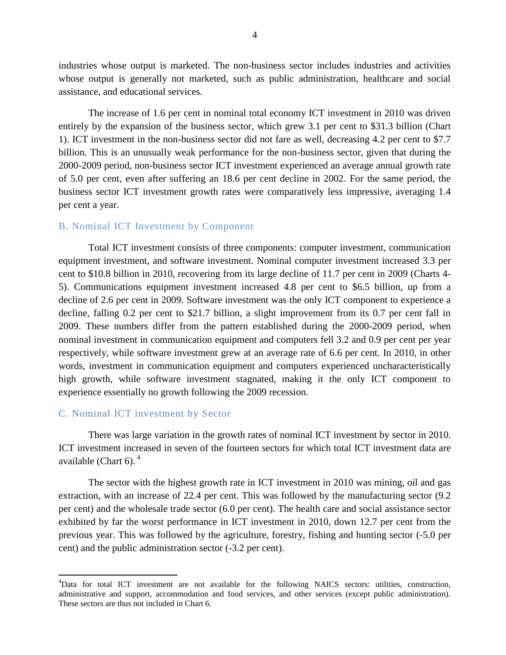industries whose output is marketed. The non-business sector includes industries and activities whose output is generally not marketed, such as public administration, healthcare and social assistance, and educational services.

The increase of 1.6 per cent in nominal total economy ICT investment in 2010 was driven entirely by the expansion of the business sector, which grew 3.1 per cent to \$31.3 billion (Chart 1). ICT investment in the non-business sector did not fare as well, decreasing 4.2 per cent to \$7.7 billion. This is an unusually weak performance for the non-business sector, given that during the 2000-2009 period, non-business sector ICT investment experienced an average annual growth rate of 5.0 per cent, even after suffering an 18.6 per cent decline in 2002. For the same period, the business sector ICT investment growth rates were comparatively less impressive, averaging 1.4 per cent a year.

#### B. Nominal ICT Investment by Component

Total ICT investment consists of three components: computer investment, communication equipment investment, and software investment. Nominal computer investment increased 3.3 per cent to \$10.8 billion in 2010, recovering from its large decline of 11.7 per cent in 2009 (Charts 4- 5). Communications equipment investment increased 4.8 per cent to \$6.5 billion, up from a decline of 2.6 per cent in 2009. Software investment was the only ICT component to experience a decline, falling 0.2 per cent to \$21.7 billion, a slight improvement from its 0.7 per cent fall in 2009. These numbers differ from the pattern established during the 2000-2009 period, when nominal investment in communication equipment and computers fell 3.2 and 0.9 per cent per year respectively, while software investment grew at an average rate of 6.6 per cent. In 2010, in other words, investment in communication equipment and computers experienced uncharacteristically high growth, while software investment stagnated, making it the only ICT component to experience essentially no growth following the 2009 recession.

#### C. Nominal ICT investment by Sector

 $\overline{a}$ 

There was large variation in the growth rates of nominal ICT investment by sector in 2010. ICT investment increased in seven of the fourteen sectors for which total ICT investment data are available (Chart 6).<sup>4</sup>

The sector with the highest growth rate in ICT investment in 2010 was mining, oil and gas extraction, with an increase of 22.4 per cent. This was followed by the manufacturing sector (9.2 per cent) and the wholesale trade sector (6.0 per cent). The health care and social assistance sector exhibited by far the worst performance in ICT investment in 2010, down 12.7 per cent from the previous year. This was followed by the agriculture, forestry, fishing and hunting sector (-5.0 per cent) and the public administration sector (-3.2 per cent).

<sup>4</sup>Data for total ICT investment are not available for the following NAICS sectors: utilities, construction, administrative and support, accommodation and food services, and other services (except public administration). These sectors are thus not included in Chart 6.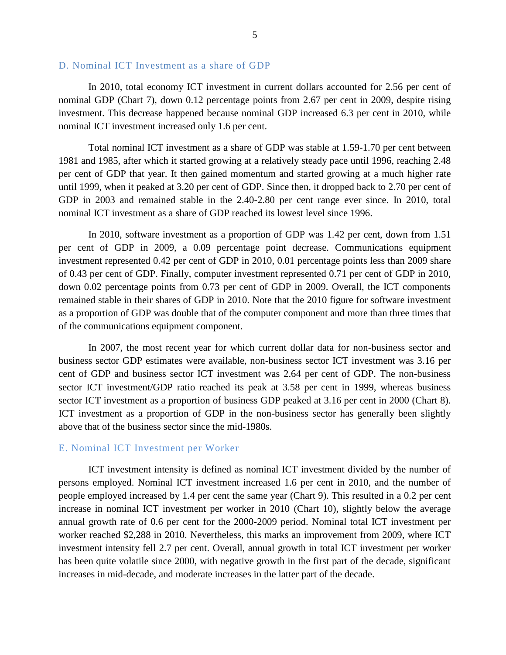#### D. Nominal ICT Investment as a share of GDP

In 2010, total economy ICT investment in current dollars accounted for 2.56 per cent of nominal GDP (Chart 7), down 0.12 percentage points from 2.67 per cent in 2009, despite rising investment. This decrease happened because nominal GDP increased 6.3 per cent in 2010, while nominal ICT investment increased only 1.6 per cent.

Total nominal ICT investment as a share of GDP was stable at 1.59-1.70 per cent between 1981 and 1985, after which it started growing at a relatively steady pace until 1996, reaching 2.48 per cent of GDP that year. It then gained momentum and started growing at a much higher rate until 1999, when it peaked at 3.20 per cent of GDP. Since then, it dropped back to 2.70 per cent of GDP in 2003 and remained stable in the 2.40-2.80 per cent range ever since. In 2010, total nominal ICT investment as a share of GDP reached its lowest level since 1996.

In 2010, software investment as a proportion of GDP was 1.42 per cent, down from 1.51 per cent of GDP in 2009, a 0.09 percentage point decrease. Communications equipment investment represented 0.42 per cent of GDP in 2010, 0.01 percentage points less than 2009 share of 0.43 per cent of GDP. Finally, computer investment represented 0.71 per cent of GDP in 2010, down 0.02 percentage points from 0.73 per cent of GDP in 2009. Overall, the ICT components remained stable in their shares of GDP in 2010. Note that the 2010 figure for software investment as a proportion of GDP was double that of the computer component and more than three times that of the communications equipment component.

In 2007, the most recent year for which current dollar data for non-business sector and business sector GDP estimates were available, non-business sector ICT investment was 3.16 per cent of GDP and business sector ICT investment was 2.64 per cent of GDP. The non-business sector ICT investment/GDP ratio reached its peak at 3.58 per cent in 1999, whereas business sector ICT investment as a proportion of business GDP peaked at 3.16 per cent in 2000 (Chart 8). ICT investment as a proportion of GDP in the non-business sector has generally been slightly above that of the business sector since the mid-1980s.

#### E. Nominal ICT Investment per Worker

ICT investment intensity is defined as nominal ICT investment divided by the number of persons employed. Nominal ICT investment increased 1.6 per cent in 2010, and the number of people employed increased by 1.4 per cent the same year (Chart 9). This resulted in a 0.2 per cent increase in nominal ICT investment per worker in 2010 (Chart 10), slightly below the average annual growth rate of 0.6 per cent for the 2000-2009 period. Nominal total ICT investment per worker reached \$2,288 in 2010. Nevertheless, this marks an improvement from 2009, where ICT investment intensity fell 2.7 per cent. Overall, annual growth in total ICT investment per worker has been quite volatile since 2000, with negative growth in the first part of the decade, significant increases in mid-decade, and moderate increases in the latter part of the decade.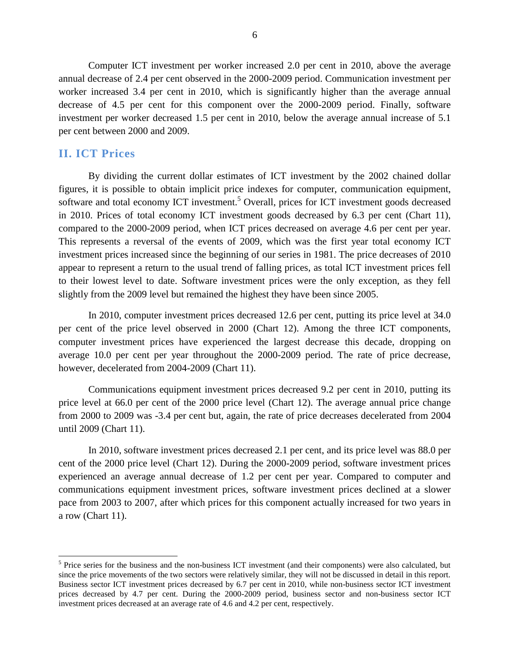Computer ICT investment per worker increased 2.0 per cent in 2010, above the average annual decrease of 2.4 per cent observed in the 2000-2009 period. Communication investment per worker increased 3.4 per cent in 2010, which is significantly higher than the average annual decrease of 4.5 per cent for this component over the 2000-2009 period. Finally, software investment per worker decreased 1.5 per cent in 2010, below the average annual increase of 5.1 per cent between 2000 and 2009.

#### **II. ICT Prices**

 $\overline{\phantom{a}}$ 

By dividing the current dollar estimates of ICT investment by the 2002 chained dollar figures, it is possible to obtain implicit price indexes for computer, communication equipment, software and total economy ICT investment.<sup>5</sup> Overall, prices for ICT investment goods decreased in 2010. Prices of total economy ICT investment goods decreased by 6.3 per cent (Chart 11), compared to the 2000-2009 period, when ICT prices decreased on average 4.6 per cent per year. This represents a reversal of the events of 2009, which was the first year total economy ICT investment prices increased since the beginning of our series in 1981. The price decreases of 2010 appear to represent a return to the usual trend of falling prices, as total ICT investment prices fell to their lowest level to date. Software investment prices were the only exception, as they fell slightly from the 2009 level but remained the highest they have been since 2005.

In 2010, computer investment prices decreased 12.6 per cent, putting its price level at 34.0 per cent of the price level observed in 2000 (Chart 12). Among the three ICT components, computer investment prices have experienced the largest decrease this decade, dropping on average 10.0 per cent per year throughout the 2000-2009 period. The rate of price decrease, however, decelerated from 2004-2009 (Chart 11).

Communications equipment investment prices decreased 9.2 per cent in 2010, putting its price level at 66.0 per cent of the 2000 price level (Chart 12). The average annual price change from 2000 to 2009 was -3.4 per cent but, again, the rate of price decreases decelerated from 2004 until 2009 (Chart 11).

In 2010, software investment prices decreased 2.1 per cent, and its price level was 88.0 per cent of the 2000 price level (Chart 12). During the 2000-2009 period, software investment prices experienced an average annual decrease of 1.2 per cent per year. Compared to computer and communications equipment investment prices, software investment prices declined at a slower pace from 2003 to 2007, after which prices for this component actually increased for two years in a row (Chart 11).

 $<sup>5</sup>$  Price series for the business and the non-business ICT investment (and their components) were also calculated, but</sup> since the price movements of the two sectors were relatively similar, they will not be discussed in detail in this report. Business sector ICT investment prices decreased by 6.7 per cent in 2010, while non-business sector ICT investment prices decreased by 4.7 per cent. During the 2000-2009 period, business sector and non-business sector ICT investment prices decreased at an average rate of 4.6 and 4.2 per cent, respectively.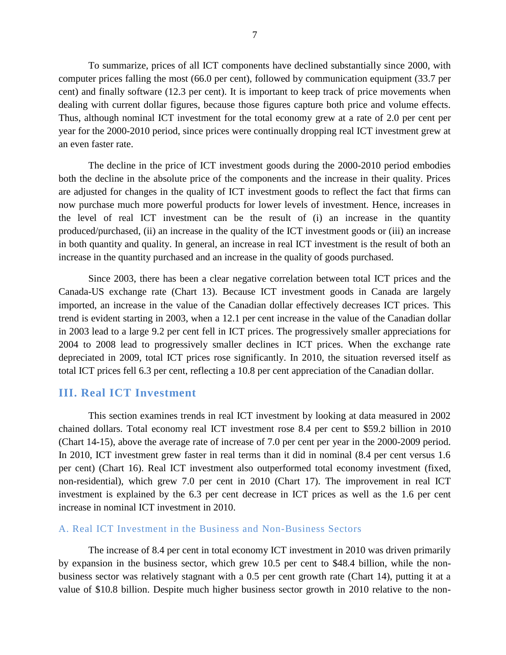To summarize, prices of all ICT components have declined substantially since 2000, with computer prices falling the most (66.0 per cent), followed by communication equipment (33.7 per cent) and finally software (12.3 per cent). It is important to keep track of price movements when dealing with current dollar figures, because those figures capture both price and volume effects. Thus, although nominal ICT investment for the total economy grew at a rate of 2.0 per cent per year for the 2000-2010 period, since prices were continually dropping real ICT investment grew at an even faster rate.

The decline in the price of ICT investment goods during the 2000-2010 period embodies both the decline in the absolute price of the components and the increase in their quality. Prices are adjusted for changes in the quality of ICT investment goods to reflect the fact that firms can now purchase much more powerful products for lower levels of investment. Hence, increases in the level of real ICT investment can be the result of (i) an increase in the quantity produced/purchased, (ii) an increase in the quality of the ICT investment goods or (iii) an increase in both quantity and quality. In general, an increase in real ICT investment is the result of both an increase in the quantity purchased and an increase in the quality of goods purchased.

Since 2003, there has been a clear negative correlation between total ICT prices and the Canada-US exchange rate (Chart 13). Because ICT investment goods in Canada are largely imported, an increase in the value of the Canadian dollar effectively decreases ICT prices. This trend is evident starting in 2003, when a 12.1 per cent increase in the value of the Canadian dollar in 2003 lead to a large 9.2 per cent fell in ICT prices. The progressively smaller appreciations for 2004 to 2008 lead to progressively smaller declines in ICT prices. When the exchange rate depreciated in 2009, total ICT prices rose significantly. In 2010, the situation reversed itself as total ICT prices fell 6.3 per cent, reflecting a 10.8 per cent appreciation of the Canadian dollar.

#### **III. Real ICT Investment**

This section examines trends in real ICT investment by looking at data measured in 2002 chained dollars. Total economy real ICT investment rose 8.4 per cent to \$59.2 billion in 2010 (Chart 14-15), above the average rate of increase of 7.0 per cent per year in the 2000-2009 period. In 2010, ICT investment grew faster in real terms than it did in nominal (8.4 per cent versus 1.6 per cent) (Chart 16). Real ICT investment also outperformed total economy investment (fixed, non-residential), which grew 7.0 per cent in 2010 (Chart 17). The improvement in real ICT investment is explained by the 6.3 per cent decrease in ICT prices as well as the 1.6 per cent increase in nominal ICT investment in 2010.

#### A. Real ICT Investment in the Business and Non-Business Sectors

The increase of 8.4 per cent in total economy ICT investment in 2010 was driven primarily by expansion in the business sector, which grew 10.5 per cent to \$48.4 billion, while the nonbusiness sector was relatively stagnant with a 0.5 per cent growth rate (Chart 14), putting it at a value of \$10.8 billion. Despite much higher business sector growth in 2010 relative to the non-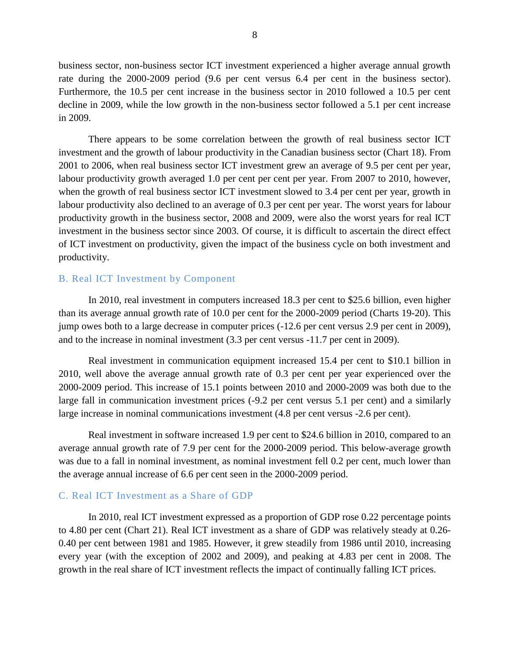business sector, non-business sector ICT investment experienced a higher average annual growth rate during the 2000-2009 period (9.6 per cent versus 6.4 per cent in the business sector). Furthermore, the 10.5 per cent increase in the business sector in 2010 followed a 10.5 per cent decline in 2009, while the low growth in the non-business sector followed a 5.1 per cent increase in 2009.

There appears to be some correlation between the growth of real business sector ICT investment and the growth of labour productivity in the Canadian business sector (Chart 18). From 2001 to 2006, when real business sector ICT investment grew an average of 9.5 per cent per year, labour productivity growth averaged 1.0 per cent per cent per year. From 2007 to 2010, however, when the growth of real business sector ICT investment slowed to 3.4 per cent per year, growth in labour productivity also declined to an average of 0.3 per cent per year. The worst years for labour productivity growth in the business sector, 2008 and 2009, were also the worst years for real ICT investment in the business sector since 2003. Of course, it is difficult to ascertain the direct effect of ICT investment on productivity, given the impact of the business cycle on both investment and productivity.

#### B. Real ICT Investment by Component

In 2010, real investment in computers increased 18.3 per cent to \$25.6 billion, even higher than its average annual growth rate of 10.0 per cent for the 2000-2009 period (Charts 19-20). This jump owes both to a large decrease in computer prices (-12.6 per cent versus 2.9 per cent in 2009), and to the increase in nominal investment (3.3 per cent versus -11.7 per cent in 2009).

Real investment in communication equipment increased 15.4 per cent to \$10.1 billion in 2010, well above the average annual growth rate of 0.3 per cent per year experienced over the 2000-2009 period. This increase of 15.1 points between 2010 and 2000-2009 was both due to the large fall in communication investment prices (-9.2 per cent versus 5.1 per cent) and a similarly large increase in nominal communications investment (4.8 per cent versus -2.6 per cent).

Real investment in software increased 1.9 per cent to \$24.6 billion in 2010, compared to an average annual growth rate of 7.9 per cent for the 2000-2009 period. This below-average growth was due to a fall in nominal investment, as nominal investment fell 0.2 per cent, much lower than the average annual increase of 6.6 per cent seen in the 2000-2009 period.

#### C. Real ICT Investment as a Share of GDP

In 2010, real ICT investment expressed as a proportion of GDP rose 0.22 percentage points to 4.80 per cent (Chart 21). Real ICT investment as a share of GDP was relatively steady at 0.26- 0.40 per cent between 1981 and 1985. However, it grew steadily from 1986 until 2010, increasing every year (with the exception of 2002 and 2009), and peaking at 4.83 per cent in 2008. The growth in the real share of ICT investment reflects the impact of continually falling ICT prices.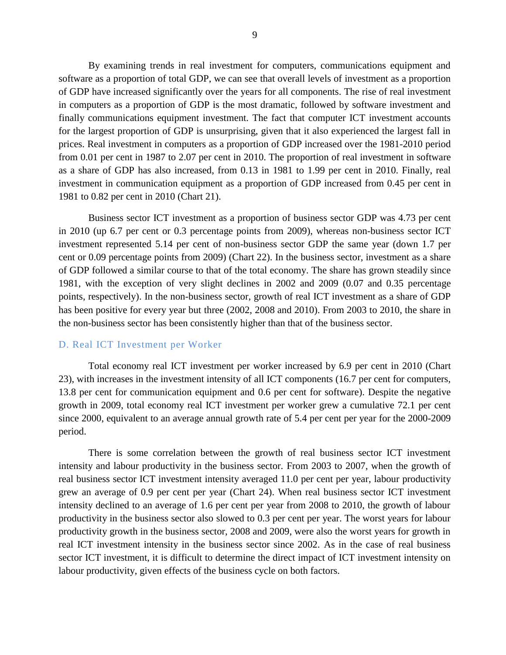By examining trends in real investment for computers, communications equipment and software as a proportion of total GDP, we can see that overall levels of investment as a proportion of GDP have increased significantly over the years for all components. The rise of real investment in computers as a proportion of GDP is the most dramatic, followed by software investment and finally communications equipment investment. The fact that computer ICT investment accounts for the largest proportion of GDP is unsurprising, given that it also experienced the largest fall in prices. Real investment in computers as a proportion of GDP increased over the 1981-2010 period from 0.01 per cent in 1987 to 2.07 per cent in 2010. The proportion of real investment in software as a share of GDP has also increased, from 0.13 in 1981 to 1.99 per cent in 2010. Finally, real investment in communication equipment as a proportion of GDP increased from 0.45 per cent in 1981 to 0.82 per cent in 2010 (Chart 21).

Business sector ICT investment as a proportion of business sector GDP was 4.73 per cent in 2010 (up 6.7 per cent or 0.3 percentage points from 2009), whereas non-business sector ICT investment represented 5.14 per cent of non-business sector GDP the same year (down 1.7 per cent or 0.09 percentage points from 2009) (Chart 22). In the business sector, investment as a share of GDP followed a similar course to that of the total economy. The share has grown steadily since 1981, with the exception of very slight declines in 2002 and 2009 (0.07 and 0.35 percentage points, respectively). In the non-business sector, growth of real ICT investment as a share of GDP has been positive for every year but three (2002, 2008 and 2010). From 2003 to 2010, the share in the non-business sector has been consistently higher than that of the business sector.

#### D. Real ICT Investment per Worker

Total economy real ICT investment per worker increased by 6.9 per cent in 2010 (Chart 23), with increases in the investment intensity of all ICT components (16.7 per cent for computers, 13.8 per cent for communication equipment and 0.6 per cent for software). Despite the negative growth in 2009, total economy real ICT investment per worker grew a cumulative 72.1 per cent since 2000, equivalent to an average annual growth rate of 5.4 per cent per year for the 2000-2009 period.

There is some correlation between the growth of real business sector ICT investment intensity and labour productivity in the business sector. From 2003 to 2007, when the growth of real business sector ICT investment intensity averaged 11.0 per cent per year, labour productivity grew an average of 0.9 per cent per year (Chart 24). When real business sector ICT investment intensity declined to an average of 1.6 per cent per year from 2008 to 2010, the growth of labour productivity in the business sector also slowed to 0.3 per cent per year. The worst years for labour productivity growth in the business sector, 2008 and 2009, were also the worst years for growth in real ICT investment intensity in the business sector since 2002. As in the case of real business sector ICT investment, it is difficult to determine the direct impact of ICT investment intensity on labour productivity, given effects of the business cycle on both factors.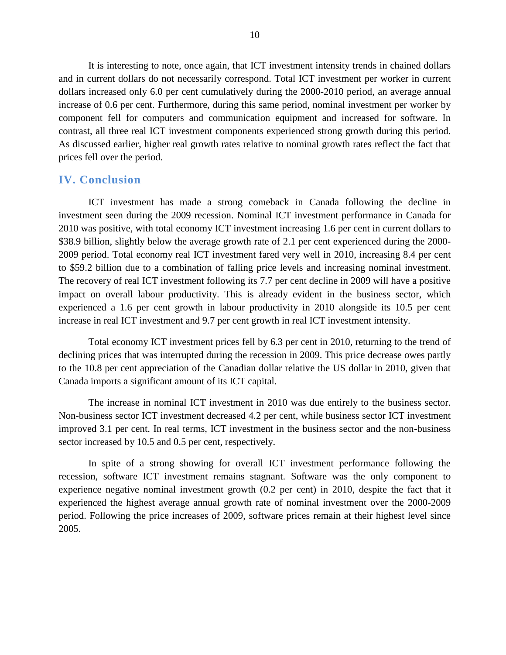It is interesting to note, once again, that ICT investment intensity trends in chained dollars and in current dollars do not necessarily correspond. Total ICT investment per worker in current dollars increased only 6.0 per cent cumulatively during the 2000-2010 period, an average annual increase of 0.6 per cent. Furthermore, during this same period, nominal investment per worker by component fell for computers and communication equipment and increased for software. In contrast, all three real ICT investment components experienced strong growth during this period. As discussed earlier, higher real growth rates relative to nominal growth rates reflect the fact that prices fell over the period.

#### **IV. Conclusion**

ICT investment has made a strong comeback in Canada following the decline in investment seen during the 2009 recession. Nominal ICT investment performance in Canada for 2010 was positive, with total economy ICT investment increasing 1.6 per cent in current dollars to \$38.9 billion, slightly below the average growth rate of 2.1 per cent experienced during the 2000-2009 period. Total economy real ICT investment fared very well in 2010, increasing 8.4 per cent to \$59.2 billion due to a combination of falling price levels and increasing nominal investment. The recovery of real ICT investment following its 7.7 per cent decline in 2009 will have a positive impact on overall labour productivity. This is already evident in the business sector, which experienced a 1.6 per cent growth in labour productivity in 2010 alongside its 10.5 per cent increase in real ICT investment and 9.7 per cent growth in real ICT investment intensity.

Total economy ICT investment prices fell by 6.3 per cent in 2010, returning to the trend of declining prices that was interrupted during the recession in 2009. This price decrease owes partly to the 10.8 per cent appreciation of the Canadian dollar relative the US dollar in 2010, given that Canada imports a significant amount of its ICT capital.

The increase in nominal ICT investment in 2010 was due entirely to the business sector. Non-business sector ICT investment decreased 4.2 per cent, while business sector ICT investment improved 3.1 per cent. In real terms, ICT investment in the business sector and the non-business sector increased by 10.5 and 0.5 per cent, respectively.

In spite of a strong showing for overall ICT investment performance following the recession, software ICT investment remains stagnant. Software was the only component to experience negative nominal investment growth (0.2 per cent) in 2010, despite the fact that it experienced the highest average annual growth rate of nominal investment over the 2000-2009 period. Following the price increases of 2009, software prices remain at their highest level since 2005.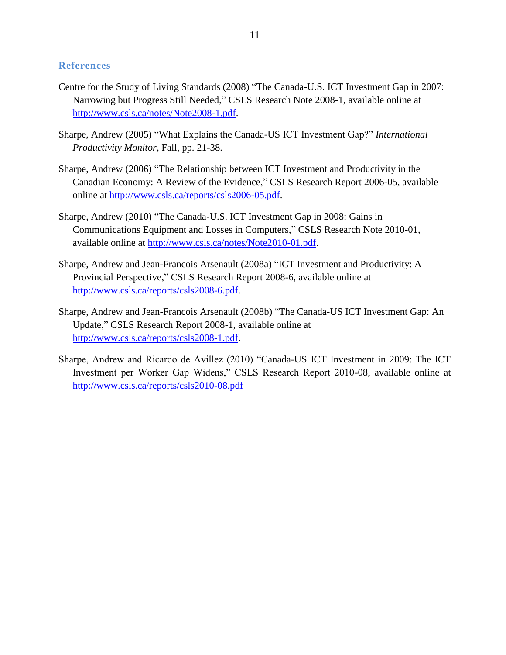#### **References**

- Centre for the Study of Living Standards (2008) "The Canada-U.S. ICT Investment Gap in 2007: Narrowing but Progress Still Needed," CSLS Research Note 2008-1, available online at [http://www.csls.ca/notes/Note2008-1.pdf.](http://www.csls.ca/notes/Note2008-1.pdf)
- Sharpe, Andrew (2005) "What Explains the Canada-US ICT Investment Gap?" *International Productivity Monitor*, Fall, pp. 21-38.
- Sharpe, Andrew (2006) "The Relationship between ICT Investment and Productivity in the Canadian Economy: A Review of the Evidence," CSLS Research Report 2006-05, available online at [http://www.csls.ca/reports/csls2006-05.pdf.](http://www.csls.ca/reports/csls2006-05.pdf)
- Sharpe, Andrew (2010) "The Canada-U.S. ICT Investment Gap in 2008: Gains in Communications Equipment and Losses in Computers," CSLS Research Note 2010-01, available online at [http://www.csls.ca/notes/Note2010-01.pdf.](http://www.csls.ca/notes/Note2010-01.pdf)
- Sharpe, Andrew and Jean-Francois Arsenault (2008a) "ICT Investment and Productivity: A Provincial Perspective," CSLS Research Report 2008-6, available online at [http://www.csls.ca/reports/csls2008-6.pdf.](http://www.csls.ca/reports/csls2008-6.pdf)
- Sharpe, Andrew and Jean-Francois Arsenault (2008b) "The Canada-US ICT Investment Gap: An Update," CSLS Research Report 2008-1, available online at [http://www.csls.ca/reports/csls2008-1.pdf.](http://www.csls.ca/reports/csls2008-1.pdf)
- Sharpe, Andrew and Ricardo de Avillez (2010) "Canada-US ICT Investment in 2009: The ICT Investment per Worker Gap Widens," CSLS Research Report 2010-08, available online at <http://www.csls.ca/reports/csls2010-08.pdf>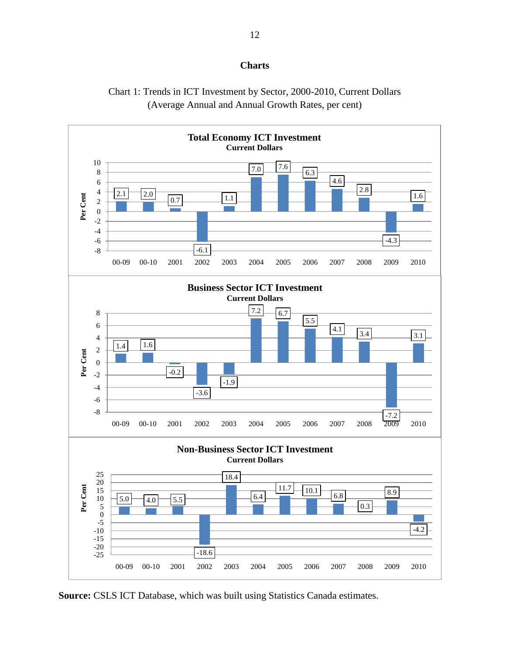#### **Charts**





**Source:** CSLS ICT Database, which was built using Statistics Canada estimates.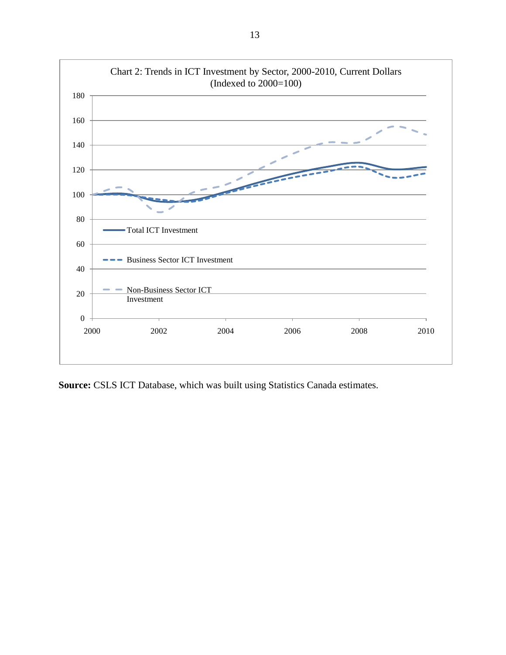

**Source:** CSLS ICT Database, which was built using Statistics Canada estimates.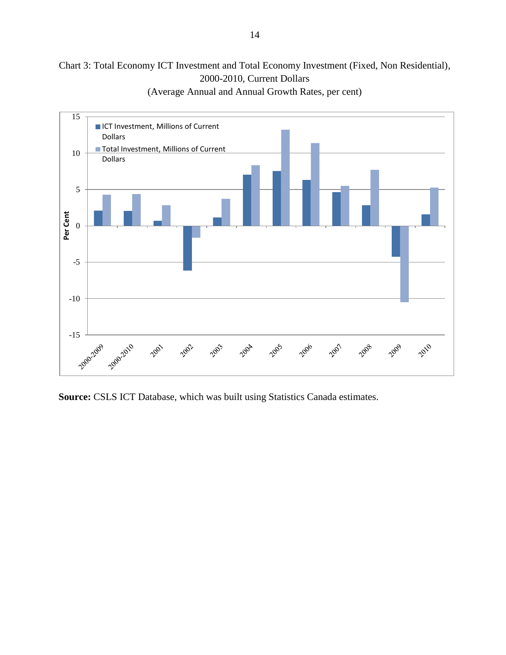#### Chart 3: Total Economy ICT Investment and Total Economy Investment (Fixed, Non Residential), 2000-2010, Current Dollars



(Average Annual and Annual Growth Rates, per cent)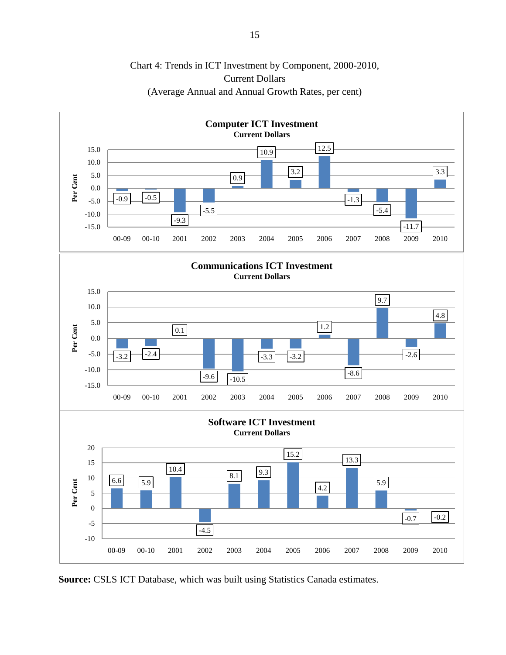

#### Chart 4: Trends in ICT Investment by Component, 2000-2010, Current Dollars (Average Annual and Annual Growth Rates, per cent)

**Source:** CSLS ICT Database, which was built using Statistics Canada estimates.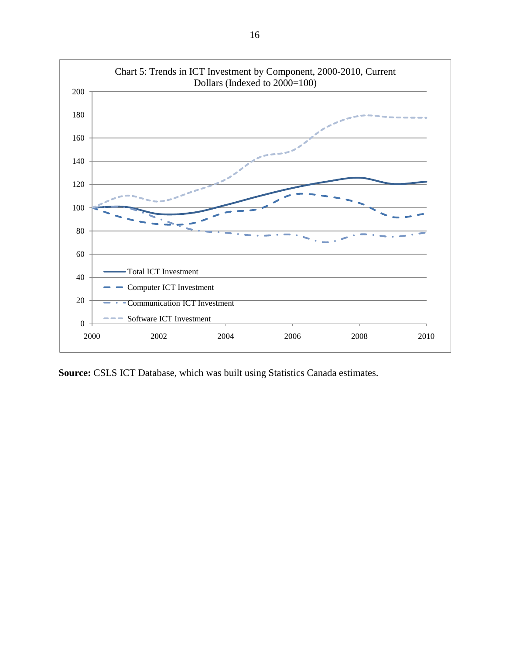

**Source:** CSLS ICT Database, which was built using Statistics Canada estimates.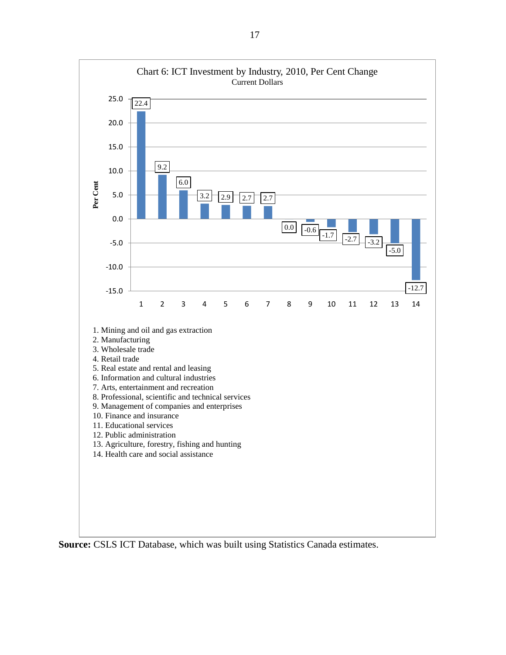

**Source:** CSLS ICT Database, which was built using Statistics Canada estimates.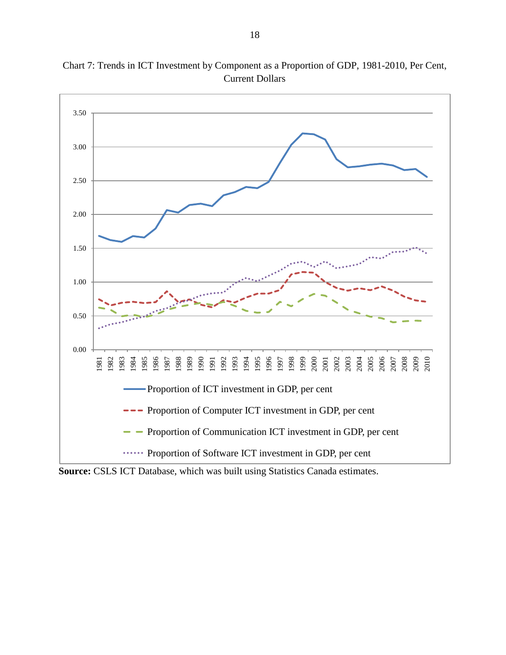

Chart 7: Trends in ICT Investment by Component as a Proportion of GDP, 1981-2010, Per Cent, Current Dollars

**Source:** CSLS ICT Database, which was built using Statistics Canada estimates.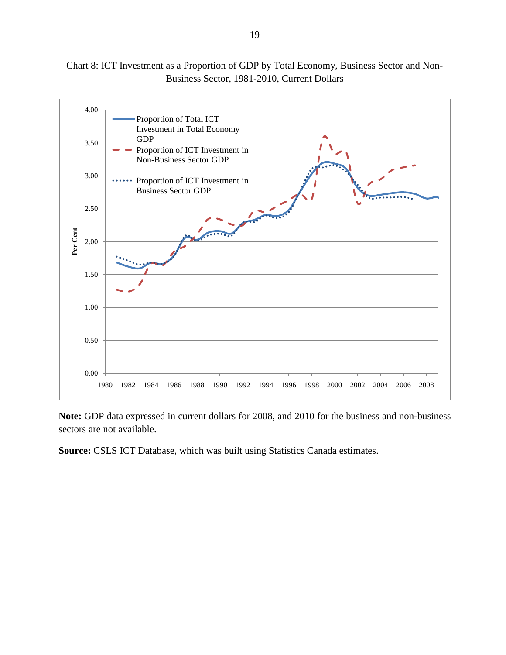Chart 8: ICT Investment as a Proportion of GDP by Total Economy, Business Sector and Non-Business Sector, 1981-2010, Current Dollars



**Note:** GDP data expressed in current dollars for 2008, and 2010 for the business and non-business sectors are not available.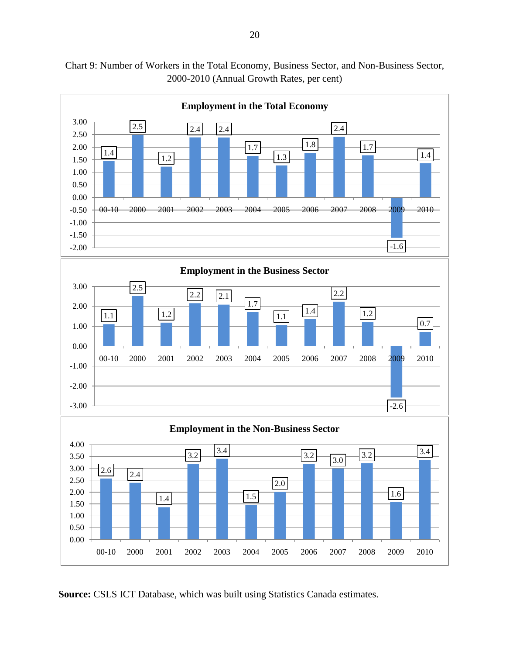

Chart 9: Number of Workers in the Total Economy, Business Sector, and Non-Business Sector, 2000-2010 (Annual Growth Rates, per cent)

**Source:** CSLS ICT Database, which was built using Statistics Canada estimates.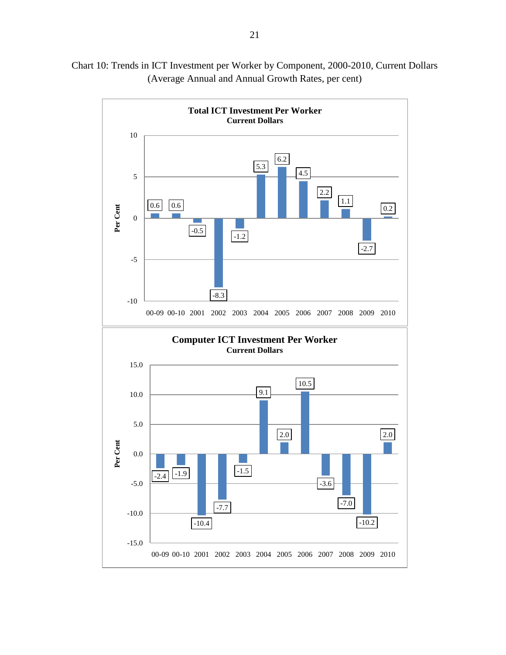

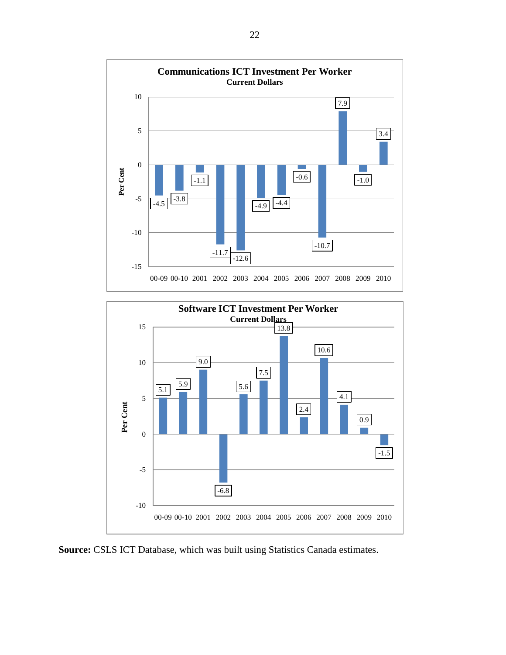



**Source:** CSLS ICT Database, which was built using Statistics Canada estimates.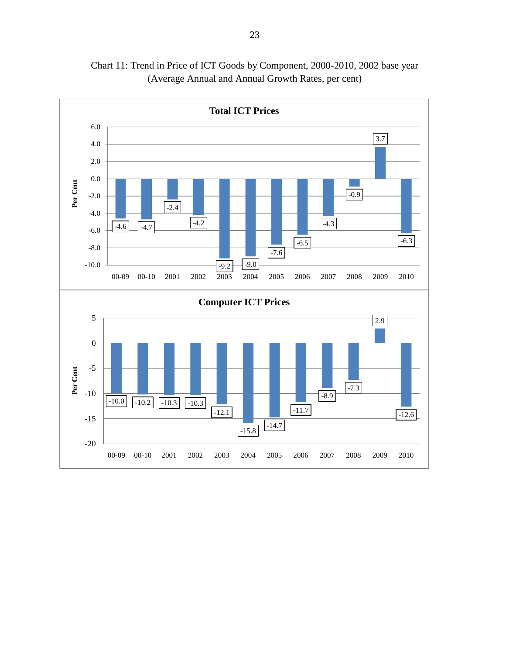

Chart 11: Trend in Price of ICT Goods by Component, 2000-2010, 2002 base year (Average Annual and Annual Growth Rates, per cent)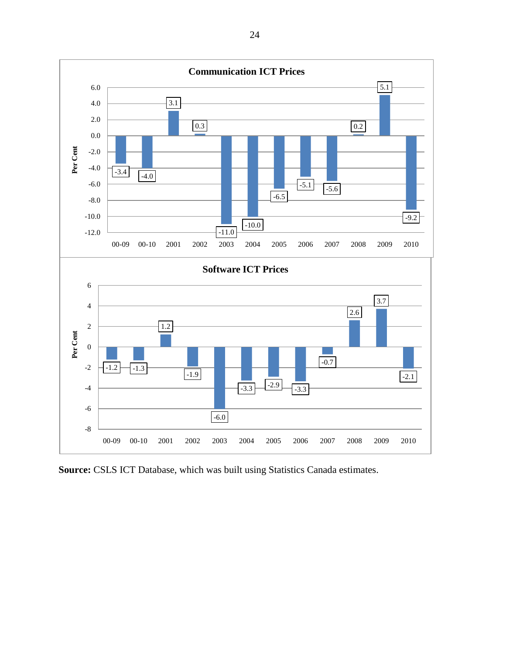

**Source:** CSLS ICT Database, which was built using Statistics Canada estimates.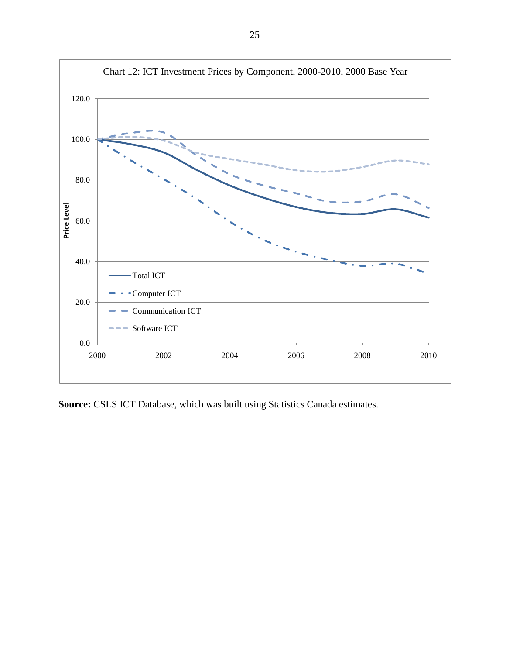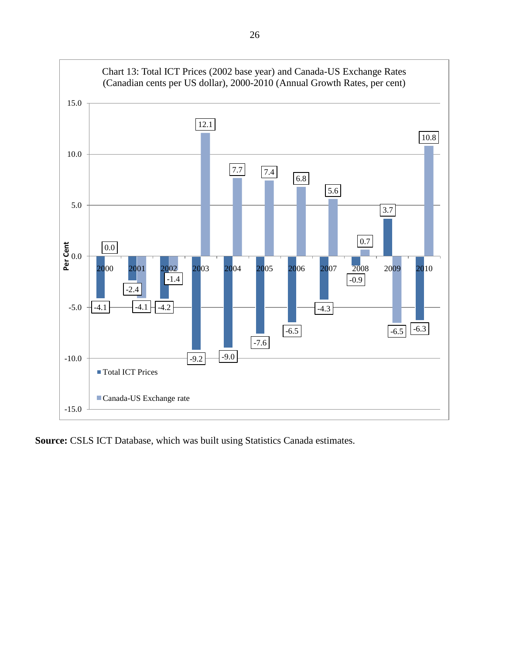

**Source:** CSLS ICT Database, which was built using Statistics Canada estimates.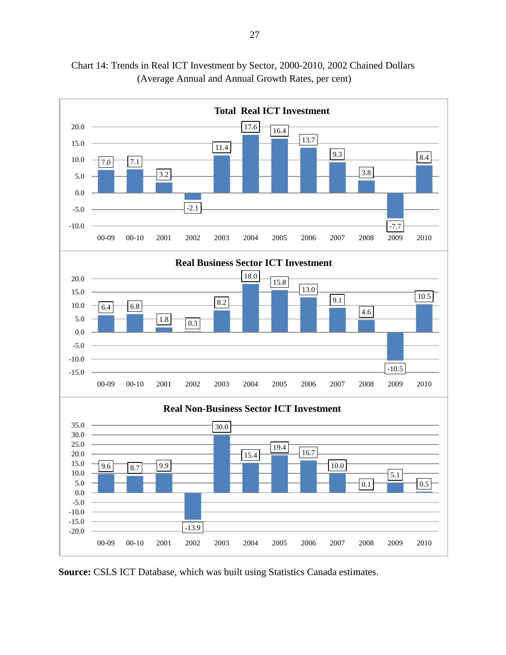

Chart 14: Trends in Real ICT Investment by Sector, 2000-2010, 2002 Chained Dollars (Average Annual and Annual Growth Rates, per cent)

**Source:** CSLS ICT Database, which was built using Statistics Canada estimates.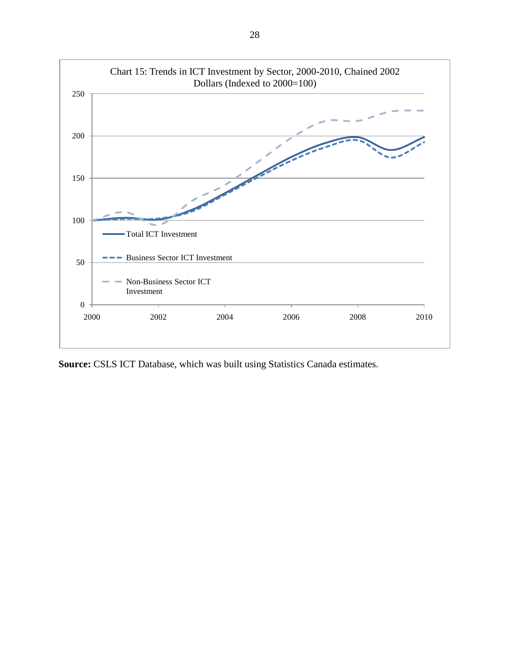

**Source:** CSLS ICT Database, which was built using Statistics Canada estimates.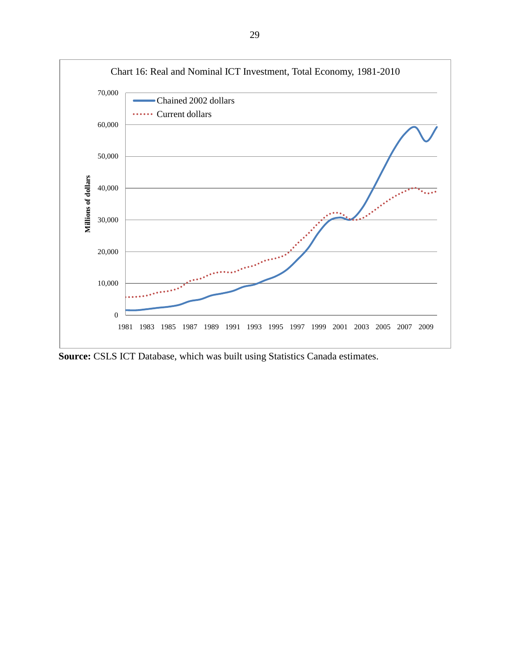

**Source:** CSLS ICT Database, which was built using Statistics Canada estimates.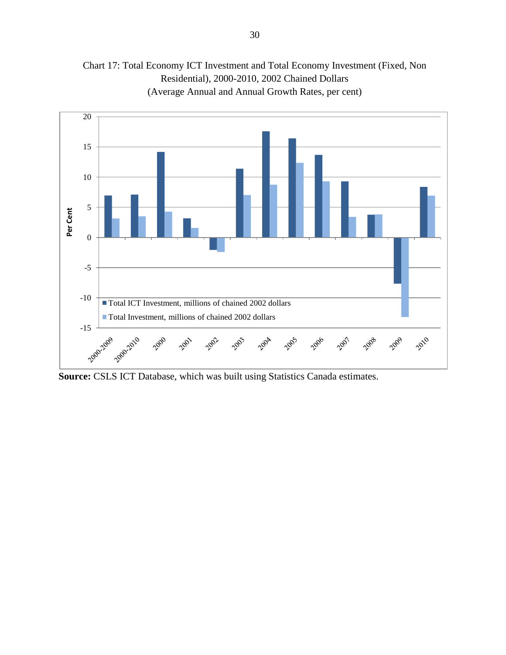

Chart 17: Total Economy ICT Investment and Total Economy Investment (Fixed, Non Residential), 2000-2010, 2002 Chained Dollars (Average Annual and Annual Growth Rates, per cent)

**Source:** CSLS ICT Database, which was built using Statistics Canada estimates.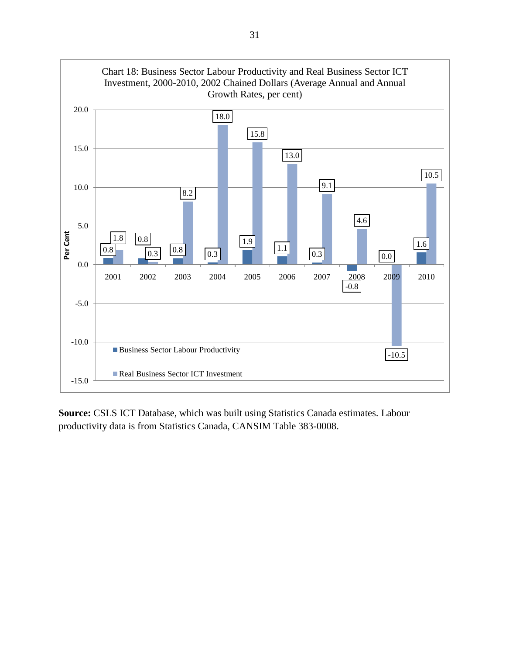

**Source:** CSLS ICT Database, which was built using Statistics Canada estimates. Labour productivity data is from Statistics Canada, CANSIM Table 383-0008.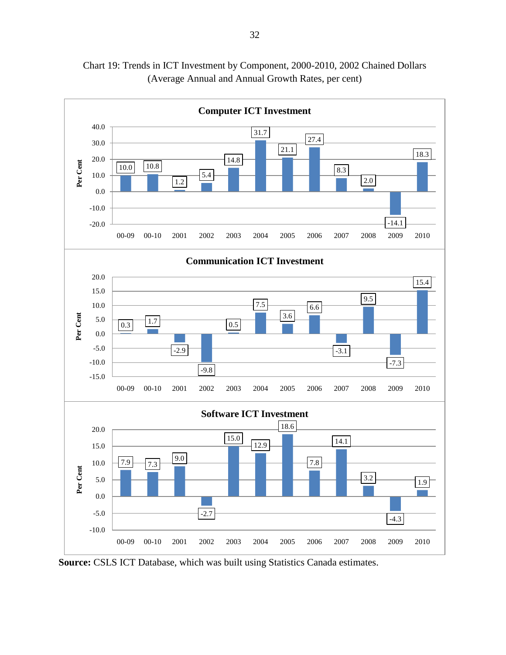

Chart 19: Trends in ICT Investment by Component, 2000-2010, 2002 Chained Dollars (Average Annual and Annual Growth Rates, per cent)

**Source:** CSLS ICT Database, which was built using Statistics Canada estimates.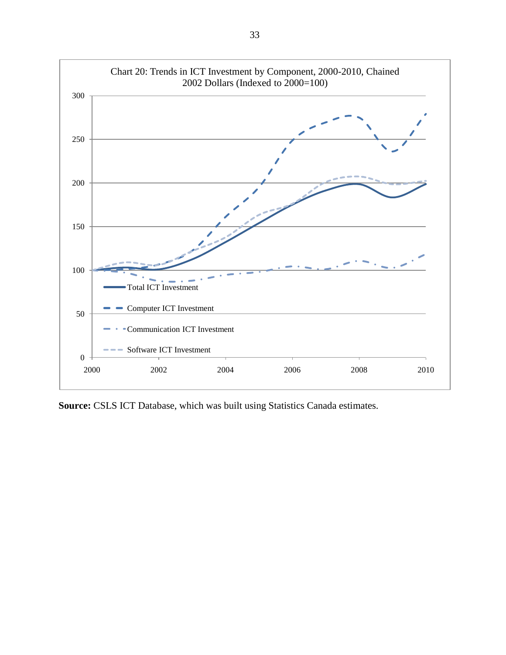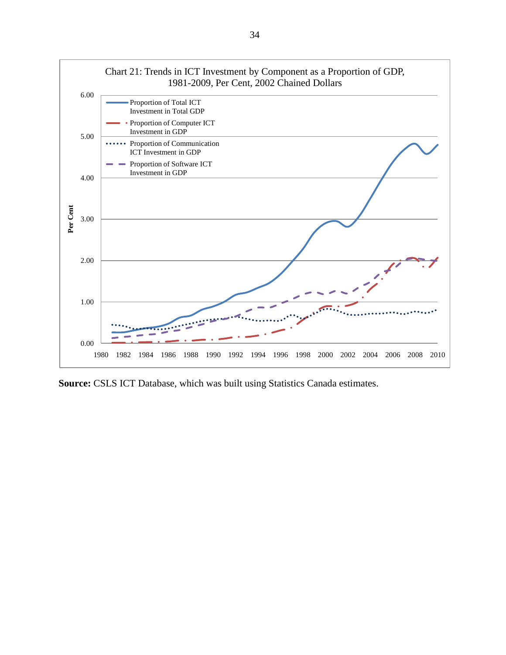

**Source:** CSLS ICT Database, which was built using Statistics Canada estimates.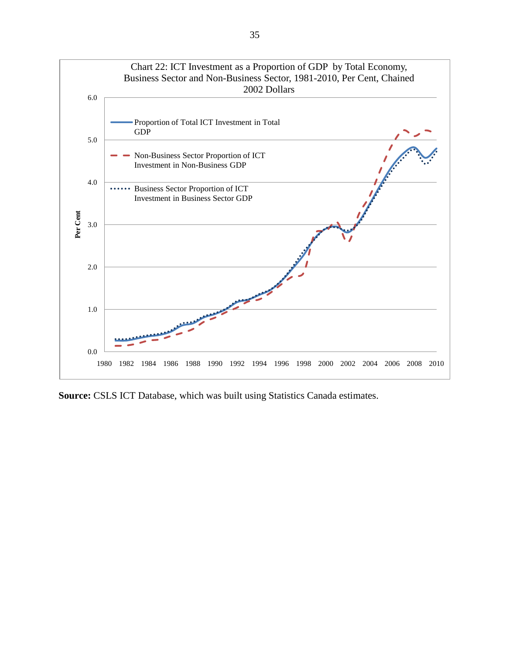

**Source:** CSLS ICT Database, which was built using Statistics Canada estimates.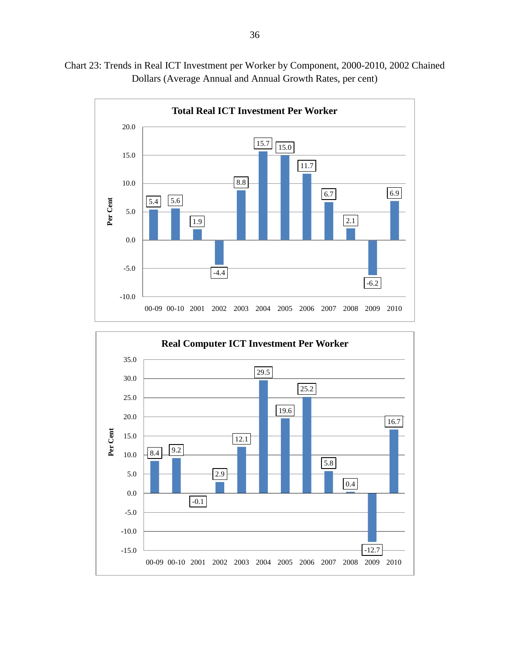



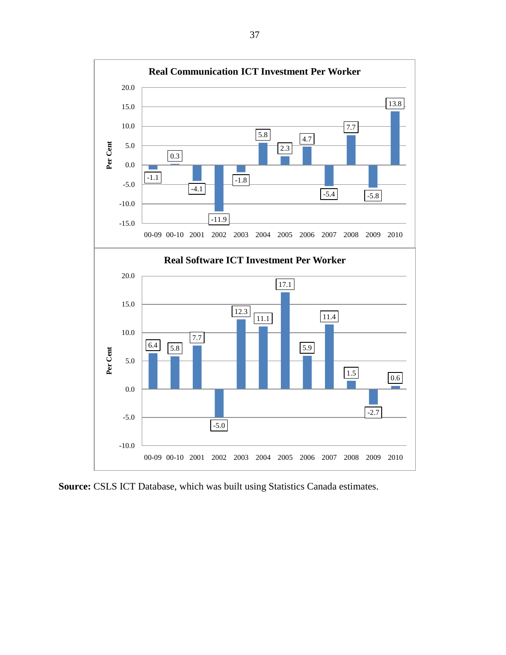

**Source:** CSLS ICT Database, which was built using Statistics Canada estimates.